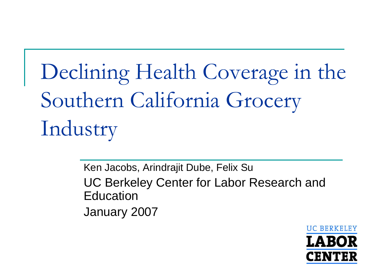Declining Health Coverage in the Southern California Grocery Industry

> Ken Jacobs, Arindrajit Dube, Felix Su UC Berkeley Center for Labor Research and EducationJanuary 2007

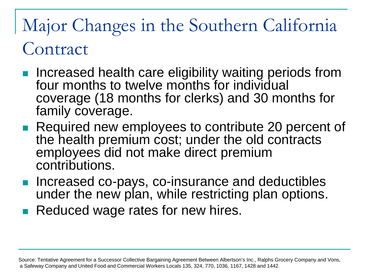# Major Changes in the Southern California Contract

- Increased health care eligibility waiting periods from four months to twelve months for individual coverage (18 months for clerks) and 30 months for family coverage.
- **Required new employees to contribute 20 percent of** the health premium cost; under the old contracts employees did not make direct premium contributions.
- **Increased co-pays, co-insurance and deductibles** under the new plan, while restricting plan options.
- F. Reduced wage rates for new hires.

Source: Tentative Agreement for a Successor Collective Bargaining Agreement Between Albertson's Inc., Ralphs Grocery Company and Vons, a Safeway Company and United Food and Commercial Workers Locals 135, 324, 770, 1036, 1167, 1428 and 1442.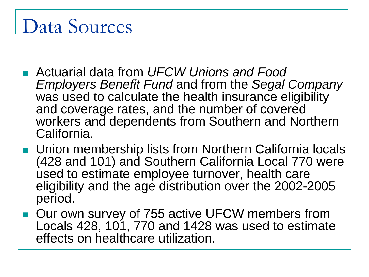# Data Sources

- Actuarial data from *UFCW Unions and Food Employers Benefit Fund* and from the *Segal Company* was used to calculate the health insurance eligibility and coverage rates, and the number of covered workers and dependents from Southern and Northern California.
- **Union membership lists from Northern California locals** (428 and 101) and Southern California Local 770 were used to estimate employee turnover, health care eligibility and the age distribution over the 2002-2005 period.
- Our own survey of 755 active UFCW members from Locals 428, 101, 770 and 1428 was used to estimate effects on healthcare utilization.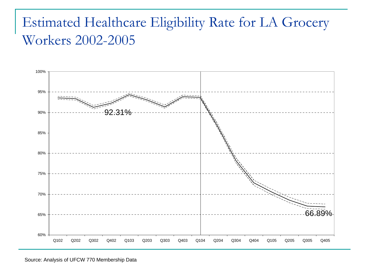#### Estimated Healthcare Eligibility Rate for LA Grocery Workers 2002-2005



Source: Analysis of UFCW 770 Membership Data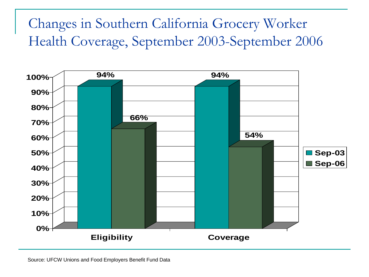#### Changes in Southern California Grocery Worker Health Coverage, September 2003-September 2006

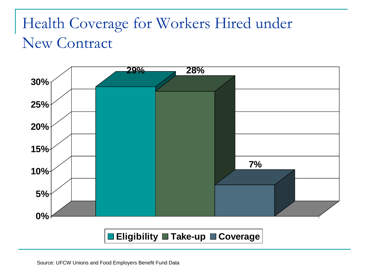## Health Coverage for Workers Hired under New Contract

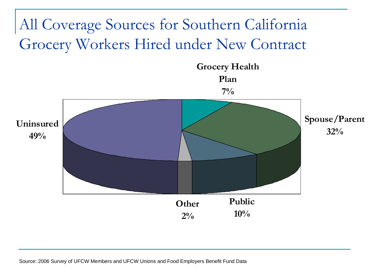# All Coverage Sources for Southern California Grocery Workers Hired under New Contract

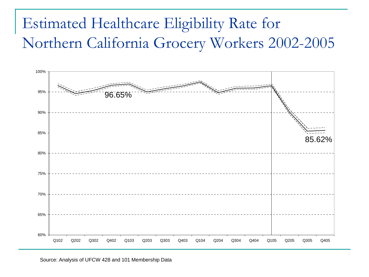## Estimated Healthcare Eligibility Rate for Northern California Grocery Workers 2002-2005



Source: Analysis of UFCW 428 and 101 Membership Data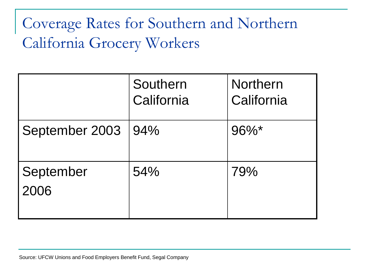# Coverage Rates for Southern and Northern California Grocery Workers

|                   | Southern<br>California | <b>Northern</b><br>California |
|-------------------|------------------------|-------------------------------|
| September 2003    | 94%                    | $96\%$ *                      |
| September<br>2006 | 54%                    | 79%                           |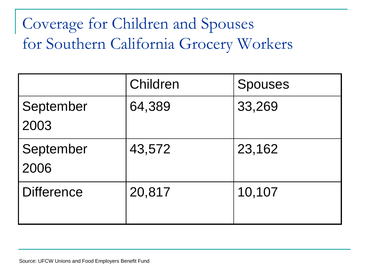# Coverage for Children and Spouses for Southern California Grocery Workers

|                   | Children | <b>Spouses</b> |
|-------------------|----------|----------------|
| September<br>2003 | 64,389   | 33,269         |
| September<br>2006 | 43,572   | 23,162         |
| <b>Difference</b> | 20,817   | 10,107         |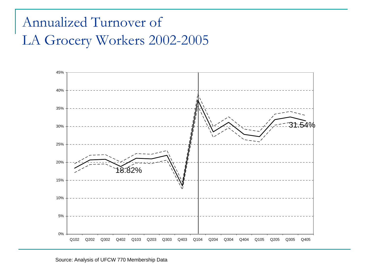#### Annualized Turnover of LA Grocery Workers 2002-2005

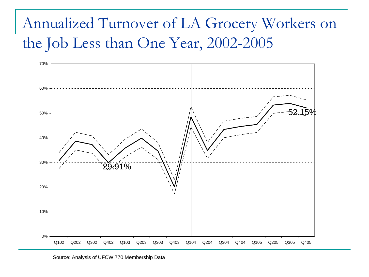## Annualized Turnover of LA Grocery Workers on the Job Less than One Year, 2002-2005

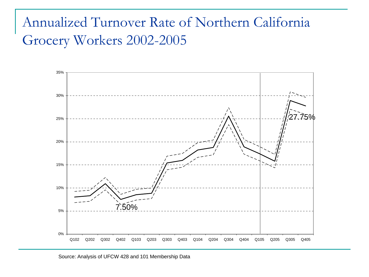#### Annualized Turnover Rate of Northern California Grocery Workers 2002-2005



Source: Analysis of UFCW 428 and 101 Membership Data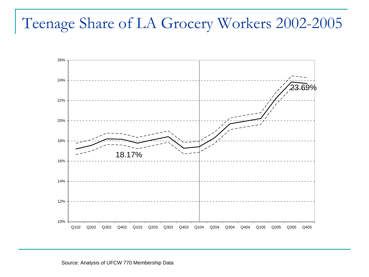#### Teenage Share of LA Grocery Workers 2002-2005



Source: Analysis of UFCW 770 Membership Data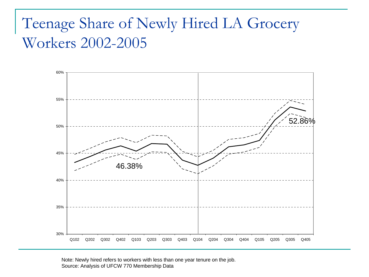### Teenage Share of Newly Hired LA Grocery Workers 2002-2005



Note: Newly hired refers to workers with less than one year tenure on the job. Source: Analysis of UFCW 770 Membership Data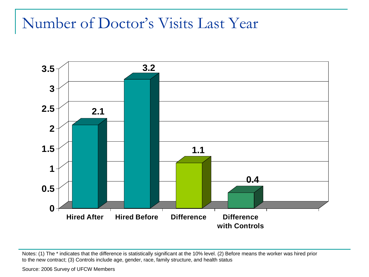#### Number of Doctor's Visits Last Year



Notes: (1) The \* indicates that the difference is statistically significant at the 10% level. (2) Before means the worker was hired prior to the new contract; (3) Controls include age, gender, race, family structure, and health status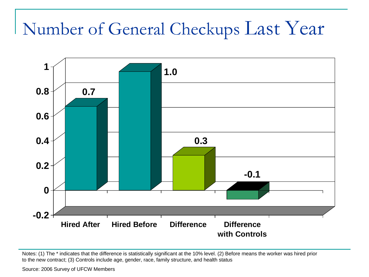# Number of General Checkups Last Year



Notes: (1) The \* indicates that the difference is statistically significant at the 10% level. (2) Before means the worker was hired prior to the new contract; (3) Controls include age, gender, race, family structure, and health status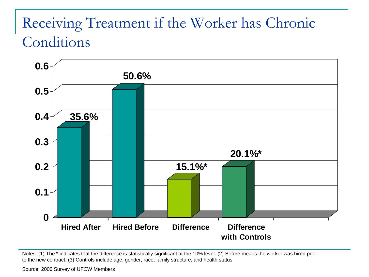### Receiving Treatment if the Worker has Chronic Conditions



Notes: (1) The \* indicates that the difference is statistically significant at the 10% level. (2) Before means the worker was hired prior to the new contract; (3) Controls include age, gender, race, family structure, and health status